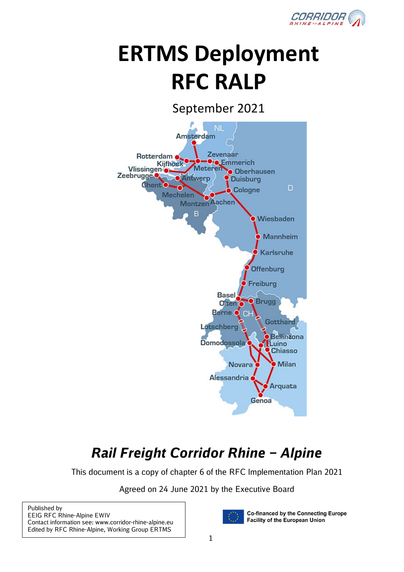

# **ERTMS Deployment RFC RALP**

September 2021



## *Rail Freight Corridor Rhine – Alpine*

This document is a copy of chapter 6 of the RFC Implementation Plan 2021

Agreed on 24 June 2021 by the Executive Board

| Published by                                          |
|-------------------------------------------------------|
| <b>EEIG RFC Rhine-Alpine EWIV</b>                     |
| Contact information see: www.corridor-rhine-alpine.eu |
| Edited by RFC Rhine-Alpine, Working Group ERTMS       |



**Co-financed by the Connecting Europe Facility of the European Union**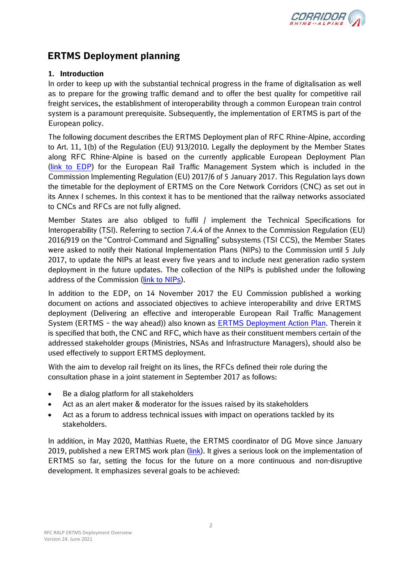

### **ERTMS Deployment planning**

#### **1. Introduction**

In order to keep up with the substantial technical progress in the frame of digitalisation as well as to prepare for the growing traffic demand and to offer the best quality for competitive rail freight services, the establishment of interoperability through a common European train control system is a paramount prerequisite. Subsequently, the implementation of ERTMS is part of the European policy.

The following document describes the ERTMS Deployment plan of RFC Rhine-Alpine, according to Art. 11, 1(b) of the Regulation (EU) 913/2010. Legally the deployment by the Member States along RFC Rhine-Alpine is based on the currently applicable European Deployment Plan (link [to EDP\)](https://ec.europa.eu/transport/sites/default/files/ertms_edp.pdf) for the European Rail Traffic Management System which is included in the Commission Implementing Regulation (EU) 2017/6 of 5 January 2017. This Regulation lays down the timetable for the deployment of ERTMS on the Core Network Corridors (CNC) as set out in its Annex I schemes. In this context it has to be mentioned that the railway networks associated to CNCs and RFCs are not fully aligned.

Member States are also obliged to fulfil / implement the Technical Specifications for Interoperability (TSI). Referring to section 7.4.4 of the Annex to the Commission Regulation (EU) 2016/919 on the "Control-Command and Signalling" subsystems (TSI CCS), the Member States were asked to notify their National Implementation Plans (NIPs) to the Commission until 5 July 2017, to update the NIPs at least every five years and to include next generation radio system deployment in the future updates. The collection of the NIPs is published under the following address of the Commission [\(link to NIPs\)](https://ec.europa.eu/transport/modes/rail/interoperability/interoperability/ccs-tsi_en).

In addition to the EDP, on 14 November 2017 the EU Commission published a working document on actions and associated objectives to achieve interoperability and drive ERTMS deployment (Delivering an effective and interoperable European Rail Traffic Management System (ERTMS – the way ahead)) also known as [ERTMS Deployment Action Plan.](https://ec.europa.eu/transport/sites/transport/files/2017-ertms-deployment-action-plan.pdf) Therein it is specified that both, the CNC and RFC, which have as their constituent members certain of the addressed stakeholder groups (Ministries, NSAs and Infrastructure Managers), should also be used effectively to support ERTMS deployment.

With the aim to develop rail freight on its lines, the RFCs defined their role during the consultation phase in a joint statement in September 2017 as follows:

- Be a dialog platform for all stakeholders
- Act as an alert maker & moderator for the issues raised by its stakeholders
- Act as a forum to address technical issues with impact on operations tackled by its stakeholders.

In addition, in May 2020, Matthias Ruete, the ERTMS coordinator of DG Move since January 2019, published a new ERTMS work plan [\(link\)](https://ec.europa.eu/transport/sites/transport/files/work_plan_ertms_2020.pdf). It gives a serious look on the implementation of ERTMS so far, setting the focus for the future on a more continuous and non-disruptive development. It emphasizes several goals to be achieved: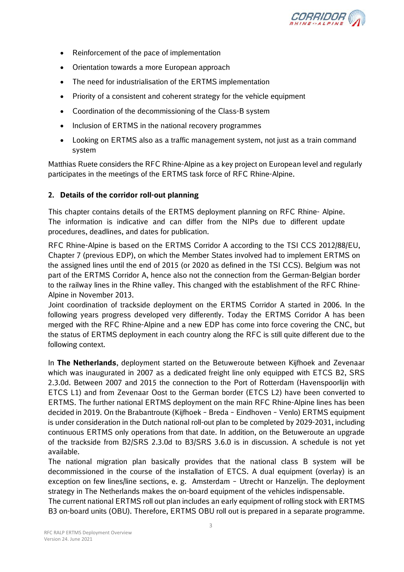

- Reinforcement of the pace of implementation
- Orientation towards a more European approach
- The need for industrialisation of the ERTMS implementation
- Priority of a consistent and coherent strategy for the vehicle equipment
- Coordination of the decommissioning of the Class-B system
- Inclusion of ERTMS in the national recovery programmes
- Looking on ERTMS also as a traffic management system, not just as a train command system

Matthias Ruete considers the RFC Rhine-Alpine as a key project on European level and regularly participates in the meetings of the ERTMS task force of RFC Rhine-Alpine.

#### **2. Details of the corridor roll-out planning**

This chapter contains details of the ERTMS deployment planning on RFC Rhine- Alpine. The information is indicative and can differ from the NIPs due to different update procedures, deadlines, and dates for publication.

RFC Rhine-Alpine is based on the ERTMS Corridor A according to the TSI CCS 2012/88/EU, Chapter 7 (previous EDP), on which the Member States involved had to implement ERTMS on the assigned lines until the end of 2015 (or 2020 as defined in the TSI CCS). Belgium was not part of the ERTMS Corridor A, hence also not the connection from the German-Belgian border to the railway lines in the Rhine valley. This changed with the establishment of the RFC Rhine-Alpine in November 2013.

Joint coordination of trackside deployment on the ERTMS Corridor A started in 2006. In the following years progress developed very differently. Today the ERTMS Corridor A has been merged with the RFC Rhine-Alpine and a new EDP has come into force covering the CNC, but the status of ERTMS deployment in each country along the RFC is still quite different due to the following context.

In **The Netherlands**, deployment started on the Betuweroute between Kijfhoek and Zevenaar which was inaugurated in 2007 as a dedicated freight line only equipped with ETCS B2, SRS 2.3.0d. Between 2007 and 2015 the connection to the Port of Rotterdam (Havenspoorlijn with ETCS L1) and from Zevenaar Oost to the German border (ETCS L2) have been converted to ERTMS. The further national ERTMS deployment on the main RFC Rhine-Alpine lines has been decided in 2019. On the Brabantroute (Kijfhoek – Breda – Eindhoven – Venlo) ERTMS equipment is under consideration in the Dutch national roll-out plan to be completed by 2029-2031, including continuous ERTMS only operations from that date. In addition, on the Betuweroute an upgrade of the trackside from B2/SRS 2.3.0d to B3/SRS 3.6.0 is in discussion. A schedule is not yet available.

The national migration plan basically provides that the national class B system will be decommissioned in the course of the installation of ETCS. A dual equipment (overlay) is an exception on few lines/line sections, e. g. Amsterdam – Utrecht or Hanzelijn. The deployment strategy in The Netherlands makes the on-board equipment of the vehicles indispensable.

The current national ERTMS roll out plan includes an early equipment of rolling stock with ERTMS B3 on-board units (OBU). Therefore, ERTMS OBU roll out is prepared in a separate programme.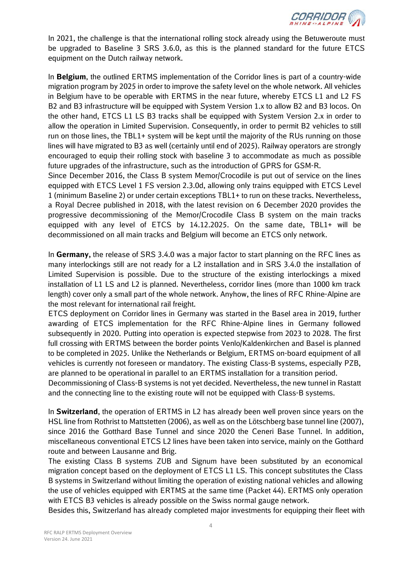

In 2021, the challenge is that the international rolling stock already using the Betuweroute must be upgraded to Baseline 3 SRS 3.6.0, as this is the planned standard for the future ETCS equipment on the Dutch railway network.

In **Belgium**, the outlined ERTMS implementation of the Corridor lines is part of a country-wide migration program by 2025 in order to improve the safety level on the whole network. All vehicles in Belgium have to be operable with ERTMS in the near future, whereby ETCS L1 and L2 FS B2 and B3 infrastructure will be equipped with System Version 1.x to allow B2 and B3 locos. On the other hand, ETCS L1 LS B3 tracks shall be equipped with System Version 2.x in order to allow the operation in Limited Supervision. Consequently, in order to permit B2 vehicles to still run on those lines, the TBL1+ system will be kept until the majority of the RUs running on those lines will have migrated to B3 as well (certainly until end of 2025). Railway operators are strongly encouraged to equip their rolling stock with baseline 3 to accommodate as much as possible future upgrades of the infrastructure, such as the introduction of GPRS for GSM-R.

Since December 2016, the Class B system Memor/Crocodile is put out of service on the lines equipped with ETCS Level 1 FS version 2.3.0d, allowing only trains equipped with ETCS Level 1 (minimum Baseline 2) or under certain exceptions TBL1+ to run on these tracks. Nevertheless, a Royal Decree published in 2018, with the latest revision on 6 December 2020 provides the progressive decommissioning of the Memor/Crocodile Class B system on the main tracks equipped with any level of ETCS by 14.12.2025. On the same date, TBL1+ will be decommissioned on all main tracks and Belgium will become an ETCS only network.

In **Germany,** the release of SRS 3.4.0 was a major factor to start planning on the RFC lines as many interlockings still are not ready for a L2 installation and in SRS 3.4.0 the installation of Limited Supervision is possible. Due to the structure of the existing interlockings a mixed installation of L1 LS and L2 is planned. Nevertheless, corridor lines (more than 1000 km track length) cover only a small part of the whole network. Anyhow, the lines of RFC Rhine-Alpine are the most relevant for international rail freight.

ETCS deployment on Corridor lines in Germany was started in the Basel area in 2019, further awarding of ETCS implementation for the RFC Rhine-Alpine lines in Germany followed subsequently in 2020. Putting into operation is expected stepwise from 2023 to 2028. The first full crossing with ERTMS between the border points Venlo/Kaldenkirchen and Basel is planned to be completed in 2025. Unlike the Netherlands or Belgium, ERTMS on-board equipment of all vehicles is currently not foreseen or mandatory. The existing Class-B systems, especially PZB, are planned to be operational in parallel to an ERTMS installation for a transition period. Decommissioning of Class-B systems is not yet decided. Nevertheless, the new tunnel in Rastatt and the connecting line to the existing route will not be equipped with Class-B systems.

In **Switzerland**, the operation of ERTMS in L2 has already been well proven since years on the HSL line from Rothrist to Mattstetten (2006), as well as on the Lötschberg base tunnel line (2007), since 2016 the Gotthard Base Tunnel and since 2020 the Ceneri Base Tunnel. In addition, miscellaneous conventional ETCS L2 lines have been taken into service, mainly on the Gotthard route and between Lausanne and Brig.

The existing Class B systems ZUB and Signum have been substituted by an economical migration concept based on the deployment of ETCS L1 LS. This concept substitutes the Class B systems in Switzerland without limiting the operation of existing national vehicles and allowing the use of vehicles equipped with ERTMS at the same time (Packet 44). ERTMS only operation with ETCS B3 vehicles is already possible on the Swiss normal gauge network.

Besides this, Switzerland has already completed major investments for equipping their fleet with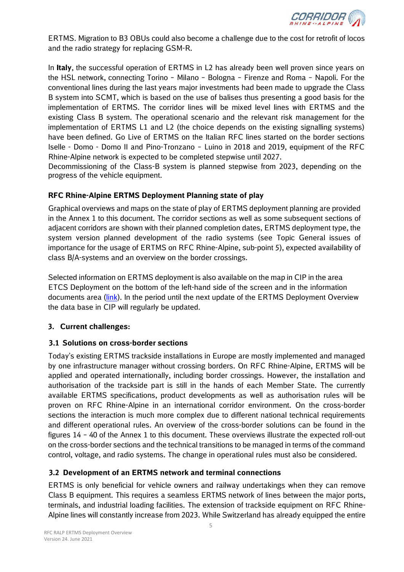

ERTMS. Migration to B3 OBUs could also become a challenge due to the cost for retrofit of locos and the radio strategy for replacing GSM-R.

In **Italy**, the successful operation of ERTMS in L2 has already been well proven since years on the HSL network, connecting Torino – Milano – Bologna – Firenze and Roma – Napoli. For the conventional lines during the last years major investments had been made to upgrade the Class B system into SCMT, which is based on the use of balises thus presenting a good basis for the implementation of ERTMS. The corridor lines will be mixed level lines with ERTMS and the existing Class B system. The operational scenario and the relevant risk management for the implementation of ERTMS L1 and L2 (the choice depends on the existing signalling systems) have been defined. Go Live of ERTMS on the Italian RFC lines started on the border sections Iselle - Domo - Domo II and Pino-Tronzano – Luino in 2018 and 2019, equipment of the RFC Rhine-Alpine network is expected to be completed stepwise until 2027.

Decommissioning of the Class-B system is planned stepwise from 2023, depending on the progress of the vehicle equipment.

#### **RFC Rhine-Alpine ERTMS Deployment Planning state of play**

Graphical overviews and maps on the state of play of ERTMS deployment planning are provided in the Annex 1 to this document. The corridor sections as well as some subsequent sections of adjacent corridors are shown with their planned completion dates, ERTMS deployment type, the system version planned development of the radio systems (see Topic General issues of importance for the usage of ERTMS on RFC Rhine-Alpine, sub-point 5), expected availability of class B/A-systems and an overview on the border crossings.

Selected information on ERTMS deployment is also available on the map in CIP in the area ETCS Deployment on the bottom of the left-hand side of the screen and in the information documents area [\(link\)](https://cip.rne.eu/apex/f?p=212%3A170%3A17371688478613%3A%3A%3A%3AP170_BOOKS_LIST%3A30009386). In the period until the next update of the ERTMS Deployment Overview the data base in CIP will regularly be updated.

#### **3. Current challenges:**

#### **3.1 Solutions on cross-border sections**

Today's existing ERTMS trackside installations in Europe are mostly implemented and managed by one infrastructure manager without crossing borders. On RFC Rhine-Alpine, ERTMS will be applied and operated internationally, including border crossings. However, the installation and authorisation of the trackside part is still in the hands of each Member State. The currently available ERTMS specifications, product developments as well as authorisation rules will be proven on RFC Rhine-Alpine in an international corridor environment. On the cross-border sections the interaction is much more complex due to different national technical requirements and different operational rules. An overview of the cross-border solutions can be found in the figures 14 – 40 of the Annex 1 to this document. These overviews illustrate the expected roll-out on the cross-border sections and the technical transitions to be managed in terms of the command control, voltage, and radio systems. The change in operational rules must also be considered.

#### **3.2 Development of an ERTMS network and terminal connections**

ERTMS is only beneficial for vehicle owners and railway undertakings when they can remove Class B equipment. This requires a seamless ERTMS network of lines between the major ports, terminals, and industrial loading facilities. The extension of trackside equipment on RFC Rhine-Alpine lines will constantly increase from 2023. While Switzerland has already equipped the entire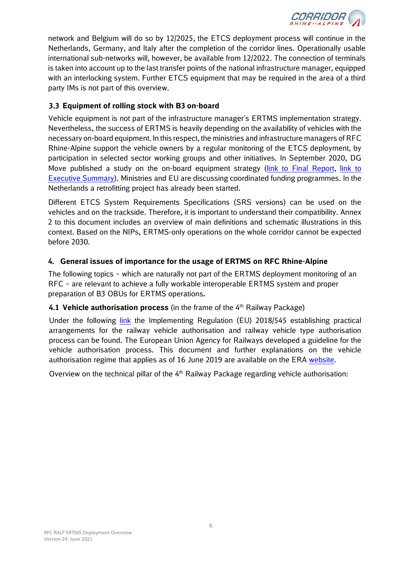

network and Belgium will do so by 12/2025, the ETCS deployment process will continue in the Netherlands, Germany, and Italy after the completion of the corridor lines. Operationally usable international sub-networks will, however, be available from 12/2022. The connection of terminals is taken into account up to the last transfer points of the national infrastructure manager, equipped with an interlocking system. Further ETCS equipment that may be required in the area of a third party IMs is not part of this overview.

#### **3.3 Equipment of rolling stock with B3 on-board**

Vehicle equipment is not part of the infrastructure manager's ERTMS implementation strategy. Nevertheless, the success of ERTMS is heavily depending on the availability of vehicles with the necessary on-board equipment. In this respect, the ministries and infrastructure managers of RFC Rhine-Alpine support the vehicle owners by a regular monitoring of the ETCS deployment, by participation in selected sector working groups and other initiatives. In September 2020, DG Move published a study on the on-board equipment strategy [\(link to Final Report,](https://op.europa.eu/en/publication-detail/-/publication/d54e5514-ee56-11ea-991b-01aa75ed71a1) [link to](https://op.europa.eu/en/publication-detail/-/publication/3aeffb7c-ee58-11ea-991b-01aa75ed71a1)  [Executive Summary\)](https://op.europa.eu/en/publication-detail/-/publication/3aeffb7c-ee58-11ea-991b-01aa75ed71a1). Ministries and EU are discussing coordinated funding programmes. In the Netherlands a retrofitting project has already been started.

Different ETCS System Requirements Specifications (SRS versions) can be used on the vehicles and on the trackside. Therefore, it is important to understand their compatibility. Annex 2 to this document includes an overview of main definitions and schematic illustrations in this context. Based on the NIPs, ERTMS-only operations on the whole corridor cannot be expected before 2030.

#### **4. General issues of importance for the usage of ERTMS on RFC Rhine-Alpine**

The following topics – which are naturally not part of the ERTMS deployment monitoring of an RFC – are relevant to achieve a fully workable interoperable ERTMS system and proper preparation of B3 OBUs for ERTMS operations**.**

#### **4.1 Vehicle authorisation process** (in the frame of the 4<sup>th</sup> Railway Package)

Under the following [link](https://eur-lex.europa.eu/legal-content/en/TXT/?uri=CELEX%3A32018R0545) the Implementing Regulation (EU) 2018/545 establishing practical arrangements for the railway vehicle authorisation and railway vehicle type authorisation process can be found. The European Union Agency for Railways developed a guideline for the vehicle authorisation process. This document and further explanations on the vehicle authorisation regime that applies as of 16 June 2019 are available on the ERA [website.](https://www.era.europa.eu/applicants/applications-vehicle-type-authorisations_en)

Overview on the technical pillar of the  $4<sup>th</sup>$  Railway Package regarding vehicle authorisation: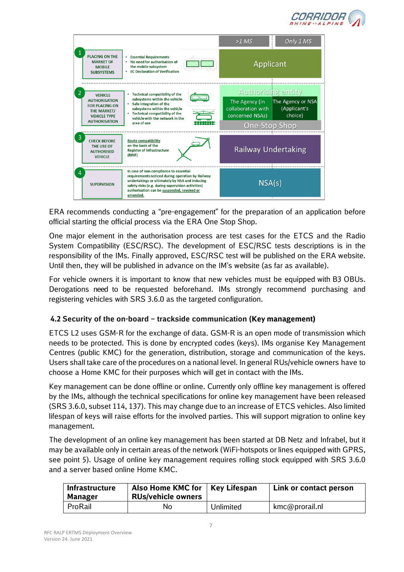



ERA recommends conducting a "pre-engagement" for the preparation of an application before official starting the official process via the ERA One Stop Shop.

One major element in the authorisation process are test cases for the ETCS and the Radio System Compatibility (ESC/RSC). The development of ESC/RSC tests descriptions is in the responsibility of the IMs. Finally approved, ESC/RSC test will be published on the ERA website. Until then, they will be published in advance on the IM's website (as far as available).

For vehicle owners it is important to know that new vehicles must be equipped with B3 OBUs. Derogations need to be requested beforehand. IMs strongly recommend purchasing and registering vehicles with SRS 3.6.0 as the targeted configuration.

#### **4.2 Security of the on-board – trackside communication (Key management)**

ETCS L2 uses GSM-R for the exchange of data. GSM-R is an open mode of transmission which needs to be protected. This is done by encrypted codes (keys). IMs organise Key Management Centres (public KMC) for the generation, distribution, storage and communication of the keys. Users shall take care of the procedures on a national level. In general RUs/vehicle owners have to choose a Home KMC for their purposes which will get in contact with the IMs.

Key management can be done offline or online. Currently only offline key management is offered by the IMs, although the technical specifications for online key management have been released (SRS 3.6.0, subset 114, 137). This may change due to an increase of ETCS vehicles. Also limited lifespan of keys will raise efforts for the involved parties. This will support migration to online key management.

The development of an online key management has been started at DB Netz and Infrabel, but it may be available only in certain areas of the network (WiFi-hotspots or lines equipped with GPRS, see point 5). Usage of online key management requires rolling stock equipped with SRS 3.6.0 and a server based online Home KMC.

| <b>Infrastructure</b><br>Manager | Also Home KMC for<br><b>RUs/vehicle owners</b> | <b>Key Lifespan</b> | Link or contact person |
|----------------------------------|------------------------------------------------|---------------------|------------------------|
| ProRail                          | No                                             | Unlimited           | kmc@prorail.nl         |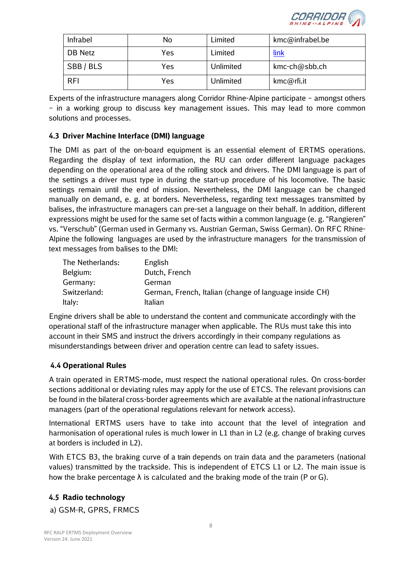

| Infrabel   | No  | Limited   | kmc@infrabel.be  |
|------------|-----|-----------|------------------|
| DB Netz    | Yes | Limited   | <u>link</u>      |
| SBB/BLS    | Yes | Unlimited | $kmc$ -ch@sbb.ch |
| <b>RFI</b> | Yes | Unlimited | kmc@rfi.it       |

Experts of the infrastructure managers along Corridor Rhine-Alpine participate – amongst others – in a working group to discuss key management issues. This may lead to more common solutions and processes.

#### **4.3 Driver Machine Interface (DMI) language**

The DMI as part of the on-board equipment is an essential element of ERTMS operations. Regarding the display of text information, the RU can order different language packages depending on the operational area of the rolling stock and drivers. The DMI language is part of the settings a driver must type in during the start-up procedure of his locomotive. The basic settings remain until the end of mission. Nevertheless, the DMI language can be changed manually on demand, e. g. at borders. Nevertheless, regarding text messages transmitted by balises, the infrastructure managers can pre-set a language on their behalf. In addition, different expressions might be used for the same set of facts within a common language (e. g. "Rangieren" vs. "Verschub" (German used in Germany vs. Austrian German, Swiss German). On RFC Rhine-Alpine the following languages are used by the infrastructure managers for the transmission of text messages from balises to the DMI:

| The Netherlands: | English                                                |
|------------------|--------------------------------------------------------|
| Belgium:         | Dutch, French                                          |
| Germany:         | German                                                 |
| Switzerland:     | German, French, Italian (change of language inside CH) |
| Italy:           | Italian                                                |

Engine drivers shall be able to understand the content and communicate accordingly with the operational staff of the infrastructure manager when applicable. The RUs must take this into account in their SMS and instruct the drivers accordingly in their company regulations as misunderstandings between driver and operation centre can lead to safety issues.

#### **4.4 Operational Rules**

A train operated in ERTMS-mode, must respect the national operational rules. On cross-border sections additional or deviating rules may apply for the use of ETCS. The relevant provisions can be found in the bilateral cross-border agreements which are available at the national infrastructure managers (part of the operational regulations relevant for network access).

International ERTMS users have to take into account that the level of integration and harmonisation of operational rules is much lower in L1 than in L2 (e.g. change of braking curves at borders is included in L2).

With ETCS B3, the braking curve of a train depends on train data and the parameters (national values) transmitted by the trackside. This is independent of ETCS L1 or L2. The main issue is how the brake percentage  $\lambda$  is calculated and the braking mode of the train (P or G).

#### **4.5 Radio technology**

a) GSM-R, GPRS, FRMCS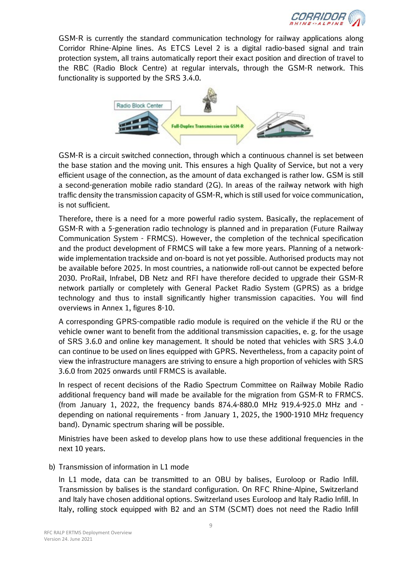

GSM-R is currently the standard communication technology for railway applications along Corridor Rhine-Alpine lines. As ETCS Level 2 is a digital radio-based signal and train protection system, all trains automatically report their exact position and direction of travel to the RBC (Radio Block Centre) at regular intervals, through the GSM-R network. This functionality is supported by the SRS 3.4.0.



GSM-R is a circuit switched connection, through which a continuous channel is set between the base station and the moving unit. This ensures a high Quality of Service, but not a very efficient usage of the connection, as the amount of data exchanged is rather low. GSM is still a second-generation mobile radio standard (2G). In areas of the railway network with high traffic density the transmission capacity of GSM-R, which is still used for voice communication, is not sufficient.

Therefore, there is a need for a more powerful radio system. Basically, the replacement of GSM-R with a 5-generation radio technology is planned and in preparation (Future Railway Communication System - FRMCS). However, the completion of the technical specification and the product development of FRMCS will take a few more years. Planning of a networkwide implementation trackside and on-board is not yet possible. Authorised products may not be available before 2025. In most countries, a nationwide roll-out cannot be expected before 2030. ProRail, Infrabel, DB Netz and RFI have therefore decided to upgrade their GSM-R network partially or completely with General Packet Radio System (GPRS) as a bridge technology and thus to install significantly higher transmission capacities. You will find overviews in Annex 1, figures 8-10.

A corresponding GPRS-compatible radio module is required on the vehicle if the RU or the vehicle owner want to benefit from the additional transmission capacities, e. g. for the usage of SRS 3.6.0 and online key management. It should be noted that vehicles with SRS 3.4.0 can continue to be used on lines equipped with GPRS. Nevertheless, from a capacity point of view the infrastructure managers are striving to ensure a high proportion of vehicles with SRS 3.6.0 from 2025 onwards until FRMCS is available.

In respect of recent decisions of the Radio Spectrum Committee on Railway Mobile Radio additional frequency band will made be available for the migration from GSM-R to FRMCS. (from January 1, 2022, the frequency bands 874.4-880.0 MHz 919.4-925.0 MHz and depending on national requirements - from January 1, 2025, the 1900-1910 MHz frequency band). Dynamic spectrum sharing will be possible.

Ministries have been asked to develop plans how to use these additional frequencies in the next 10 years.

b) Transmission of information in L1 mode

In L1 mode, data can be transmitted to an OBU by balises, Euroloop or Radio Infill. Transmission by balises is the standard configuration. On RFC Rhine-Alpine, Switzerland and Italy have chosen additional options. Switzerland uses Euroloop and Italy Radio Infill. In Italy, rolling stock equipped with B2 and an STM (SCMT) does not need the Radio Infill